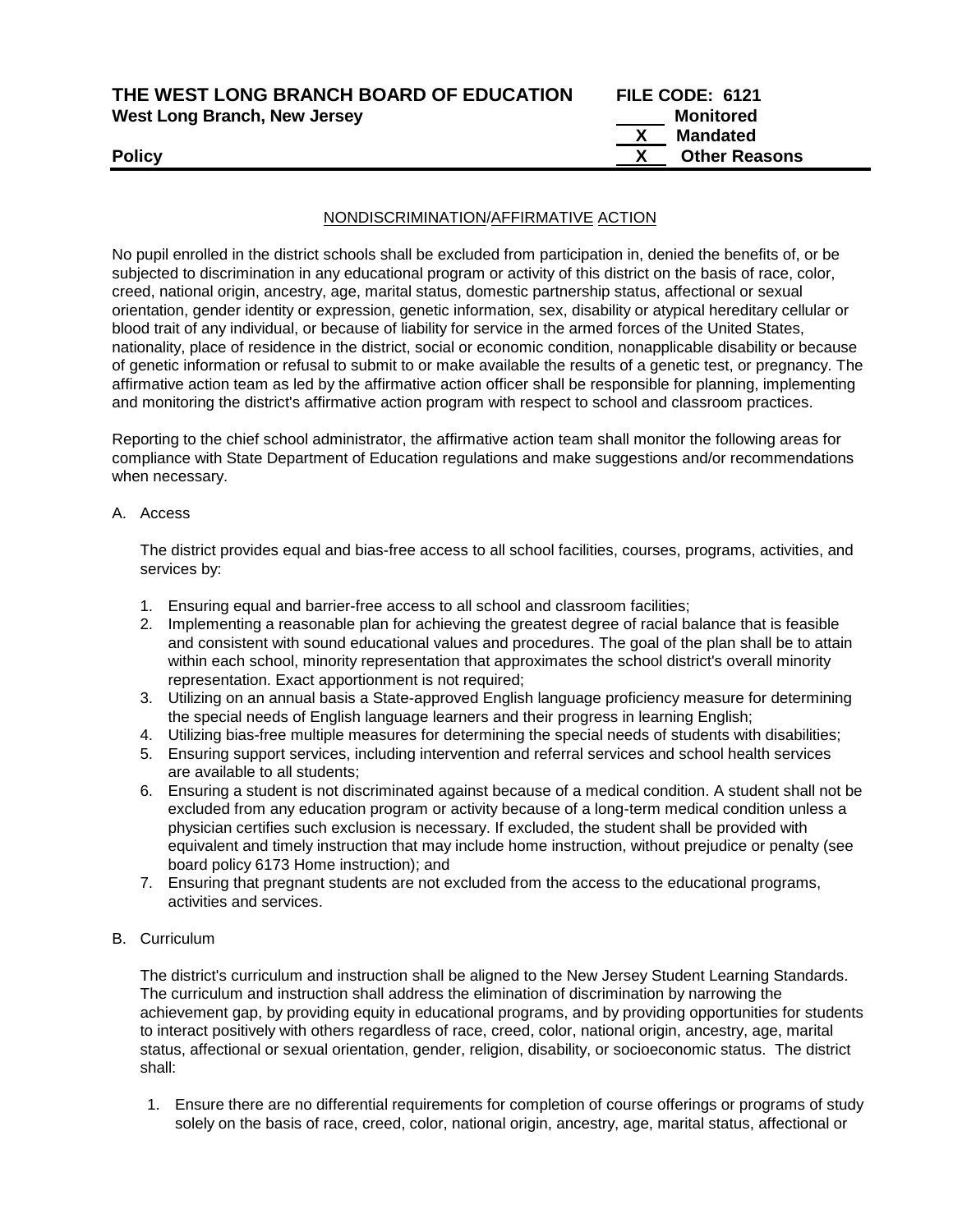| THE WEST LONG BRANCH BOARD OF EDUCATION | FILE CODE: 6121      |
|-----------------------------------------|----------------------|
| <b>West Long Branch, New Jersey</b>     | Monitored            |
|                                         | Mandated             |
| <b>Policy</b>                           | <b>Other Reasons</b> |
|                                         |                      |

#### NONDISCRIMINATION/AFFIRMATIVE ACTION

No pupil enrolled in the district schools shall be excluded from participation in, denied the benefits of, or be subjected to discrimination in any educational program or activity of this district on the basis of race, color, creed, national origin, ancestry, age, marital status, domestic partnership status, affectional or sexual orientation, gender identity or expression, genetic information, sex, disability or atypical hereditary cellular or blood trait of any individual, or because of liability for service in the armed forces of the United States, nationality, place of residence in the district, social or economic condition, nonapplicable disability or because of genetic information or refusal to submit to or make available the results of a genetic test, or pregnancy. The affirmative action team as led by the affirmative action officer shall be responsible for planning, implementing and monitoring the district's affirmative action program with respect to school and classroom practices.

Reporting to the chief school administrator, the affirmative action team shall monitor the following areas for compliance with State Department of Education regulations and make suggestions and/or recommendations when necessary.

A. Access

The district provides equal and bias-free access to all school facilities, courses, programs, activities, and services by:

- 1. Ensuring equal and barrier-free access to all school and classroom facilities;
- 2. Implementing a reasonable plan for achieving the greatest degree of racial balance that is feasible and consistent with sound educational values and procedures. The goal of the plan shall be to attain within each school, minority representation that approximates the school district's overall minority representation. Exact apportionment is not required;
- 3. Utilizing on an annual basis a State-approved English language proficiency measure for determining the special needs of English language learners and their progress in learning English;
- 4. Utilizing bias-free multiple measures for determining the special needs of students with disabilities;
- 5. Ensuring support services, including intervention and referral services and school health services are available to all students;
- 6. Ensuring a student is not discriminated against because of a medical condition. A student shall not be excluded from any education program or activity because of a long-term medical condition unless a physician certifies such exclusion is necessary. If excluded, the student shall be provided with equivalent and timely instruction that may include home instruction, without prejudice or penalty (see board policy 6173 Home instruction); and
- 7. Ensuring that pregnant students are not excluded from the access to the educational programs, activities and services.
- B. Curriculum

The district's curriculum and instruction shall be aligned to the New Jersey Student Learning Standards. The curriculum and instruction shall address the elimination of discrimination by narrowing the achievement gap, by providing equity in educational programs, and by providing opportunities for students to interact positively with others regardless of race, creed, color, national origin, ancestry, age, marital status, affectional or sexual orientation, gender, religion, disability, or socioeconomic status. The district shall:

1. Ensure there are no differential requirements for completion of course offerings or programs of study solely on the basis of race, creed, color, national origin, ancestry, age, marital status, affectional or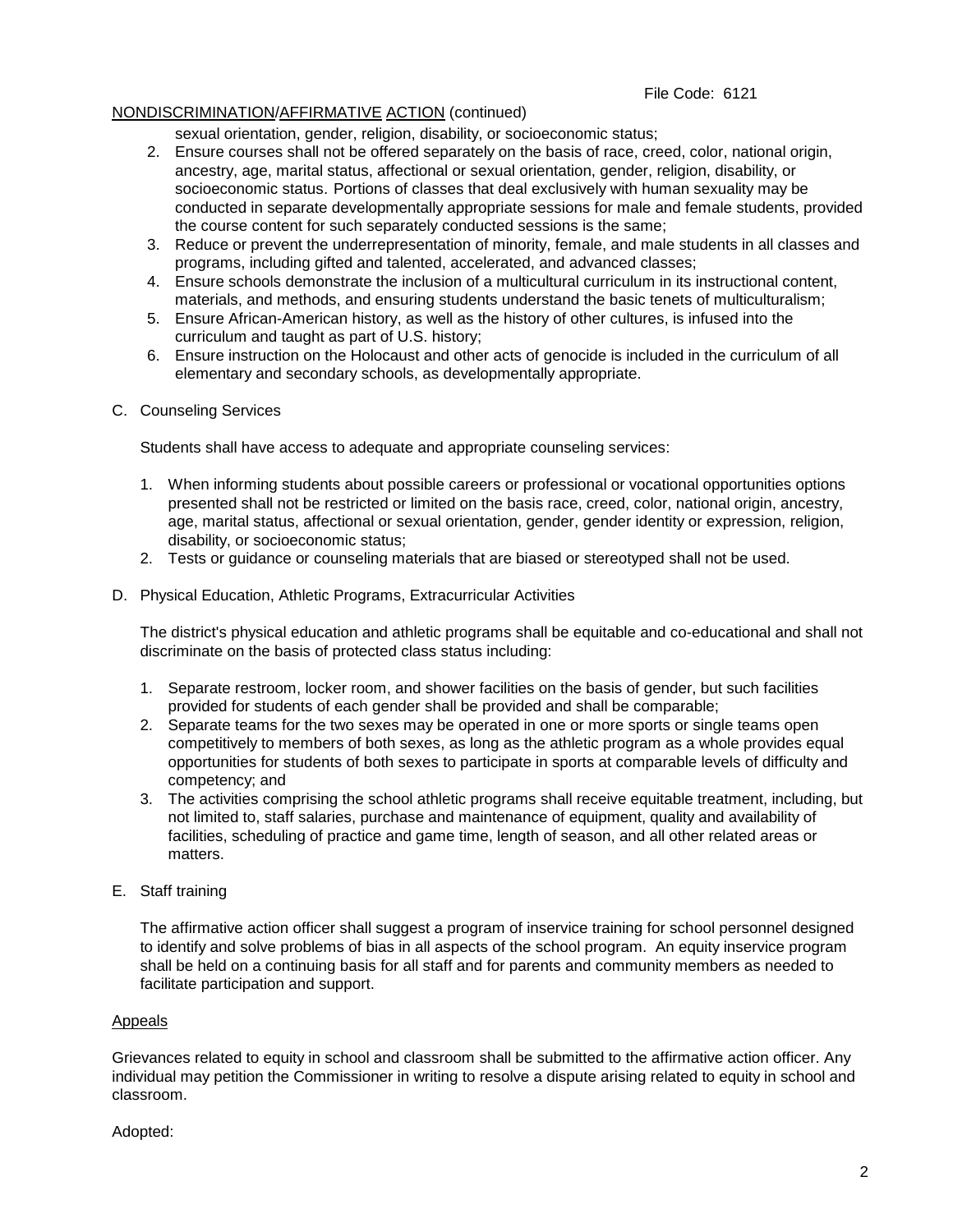## File Code: 6121

## NONDISCRIMINATION/AFFIRMATIVE ACTION (continued)

sexual orientation, gender, religion, disability, or socioeconomic status;

- 2. Ensure courses shall not be offered separately on the basis of race, creed, color, national origin, ancestry, age, marital status, affectional or sexual orientation, gender, religion, disability, or socioeconomic status. Portions of classes that deal exclusively with human sexuality may be conducted in separate developmentally appropriate sessions for male and female students, provided the course content for such separately conducted sessions is the same;
- 3. Reduce or prevent the underrepresentation of minority, female, and male students in all classes and programs, including gifted and talented, accelerated, and advanced classes;
- 4. Ensure schools demonstrate the inclusion of a multicultural curriculum in its instructional content, materials, and methods, and ensuring students understand the basic tenets of multiculturalism;
- 5. Ensure African-American history, as well as the history of other cultures, is infused into the curriculum and taught as part of U.S. history;
- 6. Ensure instruction on the Holocaust and other acts of genocide is included in the curriculum of all elementary and secondary schools, as developmentally appropriate.

## C. Counseling Services

Students shall have access to adequate and appropriate counseling services:

- 1. When informing students about possible careers or professional or vocational opportunities options presented shall not be restricted or limited on the basis race, creed, color, national origin, ancestry, age, marital status, affectional or sexual orientation, gender, gender identity or expression, religion, disability, or socioeconomic status;
- 2. Tests or guidance or counseling materials that are biased or stereotyped shall not be used.
- D. Physical Education, Athletic Programs, Extracurricular Activities

The district's physical education and athletic programs shall be equitable and co-educational and shall not discriminate on the basis of protected class status including:

- 1. Separate restroom, locker room, and shower facilities on the basis of gender, but such facilities provided for students of each gender shall be provided and shall be comparable;
- 2. Separate teams for the two sexes may be operated in one or more sports or single teams open competitively to members of both sexes, as long as the athletic program as a whole provides equal opportunities for students of both sexes to participate in sports at comparable levels of difficulty and competency; and
- 3. The activities comprising the school athletic programs shall receive equitable treatment, including, but not limited to, staff salaries, purchase and maintenance of equipment, quality and availability of facilities, scheduling of practice and game time, length of season, and all other related areas or matters.
- E. Staff training

The affirmative action officer shall suggest a program of inservice training for school personnel designed to identify and solve problems of bias in all aspects of the school program. An equity inservice program shall be held on a continuing basis for all staff and for parents and community members as needed to facilitate participation and support.

## Appeals

Grievances related to equity in school and classroom shall be submitted to the affirmative action officer. Any individual may petition the Commissioner in writing to resolve a dispute arising related to equity in school and classroom.

Adopted: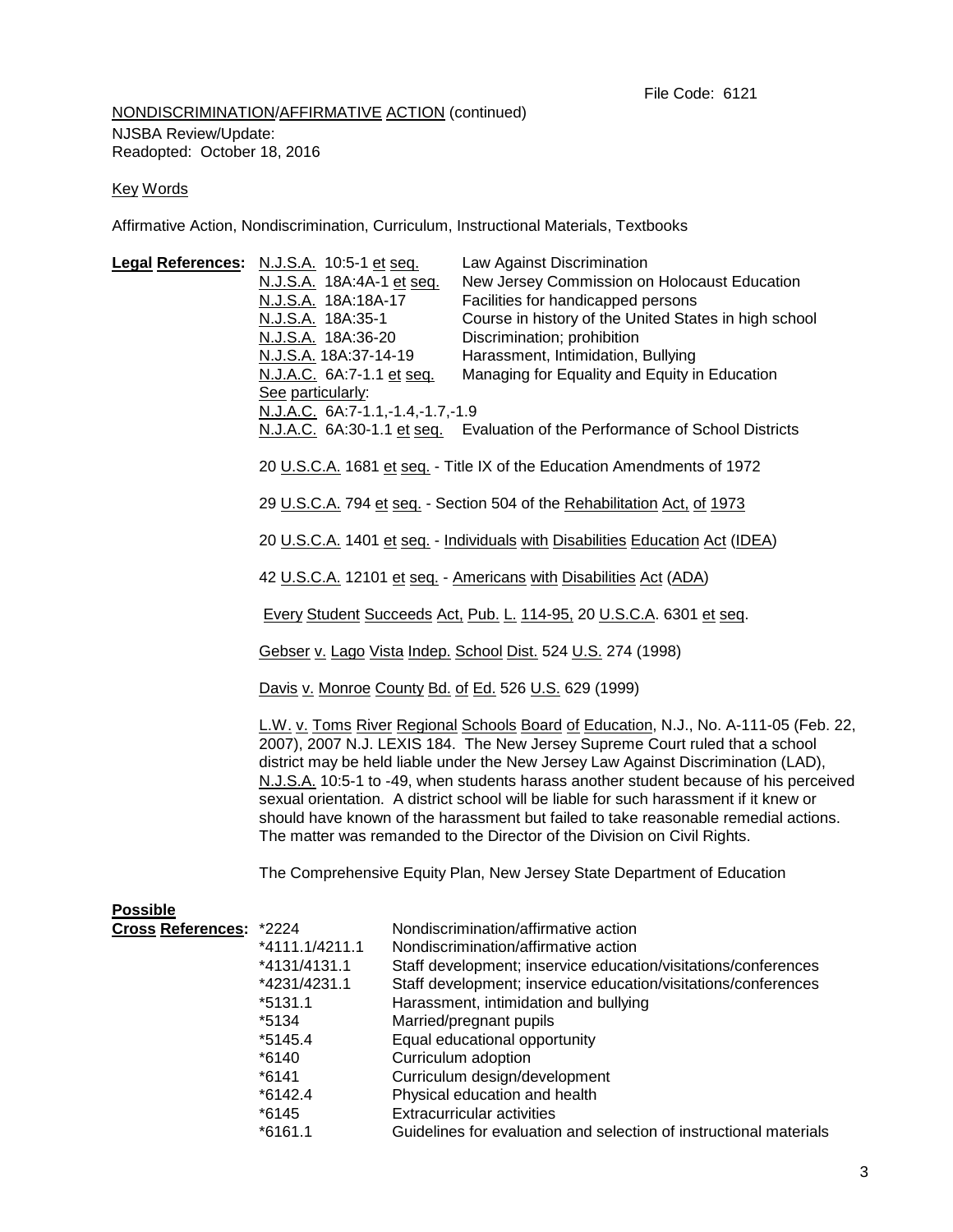# NONDISCRIMINATION/AFFIRMATIVE ACTION (continued) NJSBA Review/Update: Readopted: October 18, 2016

#### Key Words

Affirmative Action, Nondiscrimination, Curriculum, Instructional Materials, Textbooks

| Legal References: N.J.S.A. 10:5-1 et seq.  | N.J.S.A. 18A:4A-1 et seq.<br>N.J.S.A. 18A:18A-17<br>N.J.S.A. 18A:35-1<br>N.J.S.A. 18A:36-20<br><u>N.J.S.A.</u> 18A:37-14-19                                                                                                                                                                                                                                                                                                                                                                                                                                                                                      |  | Law Against Discrimination<br>New Jersey Commission on Holocaust Education<br>Facilities for handicapped persons<br>Course in history of the United States in high school<br>Discrimination; prohibition<br>Harassment, Intimidation, Bullying                                                                                               |  |
|--------------------------------------------|------------------------------------------------------------------------------------------------------------------------------------------------------------------------------------------------------------------------------------------------------------------------------------------------------------------------------------------------------------------------------------------------------------------------------------------------------------------------------------------------------------------------------------------------------------------------------------------------------------------|--|----------------------------------------------------------------------------------------------------------------------------------------------------------------------------------------------------------------------------------------------------------------------------------------------------------------------------------------------|--|
|                                            | N.J.A.C. 6A:7-1.1 et seq.<br>See particularly:<br>N.J.A.C. 6A:7-1.1,-1.4,-1.7,-1.9                                                                                                                                                                                                                                                                                                                                                                                                                                                                                                                               |  | Managing for Equality and Equity in Education<br>N.J.A.C. 6A:30-1.1 et seq. Evaluation of the Performance of School Districts                                                                                                                                                                                                                |  |
|                                            | 20 U.S.C.A. 1681 et seq. - Title IX of the Education Amendments of 1972<br>29 U.S.C.A. 794 et seq. - Section 504 of the Rehabilitation Act, of 1973                                                                                                                                                                                                                                                                                                                                                                                                                                                              |  |                                                                                                                                                                                                                                                                                                                                              |  |
|                                            | 20 U.S.C.A. 1401 et seq. - Individuals with Disabilities Education Act (IDEA)                                                                                                                                                                                                                                                                                                                                                                                                                                                                                                                                    |  |                                                                                                                                                                                                                                                                                                                                              |  |
|                                            | 42 U.S.C.A. 12101 et seq. - Americans with Disabilities Act (ADA)                                                                                                                                                                                                                                                                                                                                                                                                                                                                                                                                                |  |                                                                                                                                                                                                                                                                                                                                              |  |
|                                            | Every Student Succeeds Act, Pub. L. 114-95, 20 U.S.C.A. 6301 et seq.                                                                                                                                                                                                                                                                                                                                                                                                                                                                                                                                             |  |                                                                                                                                                                                                                                                                                                                                              |  |
|                                            | Gebser v. Lago Vista Indep. School Dist. 524 U.S. 274 (1998)                                                                                                                                                                                                                                                                                                                                                                                                                                                                                                                                                     |  |                                                                                                                                                                                                                                                                                                                                              |  |
|                                            | Davis v. Monroe County Bd. of Ed. 526 U.S. 629 (1999)                                                                                                                                                                                                                                                                                                                                                                                                                                                                                                                                                            |  |                                                                                                                                                                                                                                                                                                                                              |  |
|                                            | L.W. v. Toms River Regional Schools Board of Education, N.J., No. A-111-05 (Feb. 22,<br>2007), 2007 N.J. LEXIS 184. The New Jersey Supreme Court ruled that a school<br>district may be held liable under the New Jersey Law Against Discrimination (LAD),<br>N.J.S.A. 10:5-1 to -49, when students harass another student because of his perceived<br>sexual orientation. A district school will be liable for such harassment if it knew or<br>should have known of the harassment but failed to take reasonable remedial actions.<br>The matter was remanded to the Director of the Division on Civil Rights. |  |                                                                                                                                                                                                                                                                                                                                              |  |
|                                            | The Comprehensive Equity Plan, New Jersey State Department of Education                                                                                                                                                                                                                                                                                                                                                                                                                                                                                                                                          |  |                                                                                                                                                                                                                                                                                                                                              |  |
| <b>Possible</b><br>Cross References: *2224 | *4111.1/4211.1<br>*4131/4131.1<br>*4231/4231.1<br>$*5131.1$<br>*5134<br>*5145.4<br>*6140                                                                                                                                                                                                                                                                                                                                                                                                                                                                                                                         |  | Nondiscrimination/affirmative action<br>Nondiscrimination/affirmative action<br>Staff development; inservice education/visitations/conferences<br>Staff development; inservice education/visitations/conferences<br>Harassment, intimidation and bullying<br>Married/pregnant pupils<br>Equal educational opportunity<br>Curriculum adoption |  |
|                                            | $*6141$                                                                                                                                                                                                                                                                                                                                                                                                                                                                                                                                                                                                          |  | Curriculum design/development                                                                                                                                                                                                                                                                                                                |  |

- \*6142.4 Physical education and health
- \*6145 Extracurricular activities
	- Guidelines for evaluation and selection of instructional materials